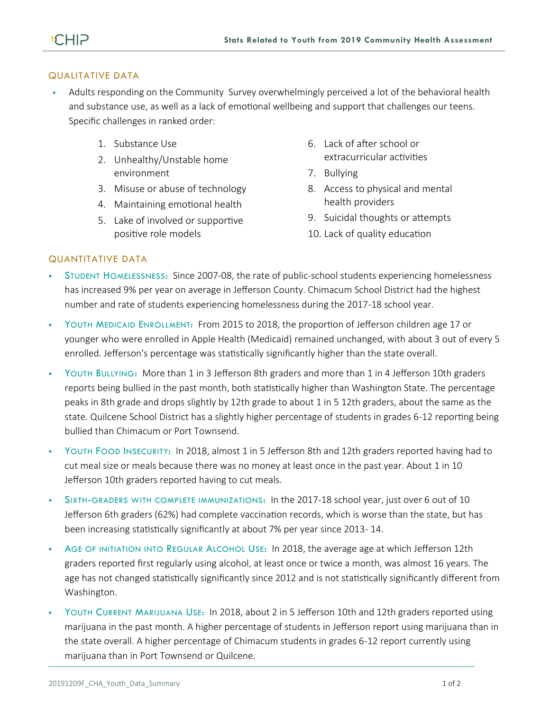## QUALITATIVE DATA

- **•** Adults responding on the Community Survey overwhelmingly perceived a lot of the behavioral health and substance use, as well as a lack of emotional wellbeing and support that challenges our teens. Specific challenges in ranked order:
	- 1. Substance Use
	- 2. Unhealthy/Unstable home environment
	- 3. Misuse or abuse of technology
	- 4. Maintaining emotional health
	- 5. Lake of involved or supportive positive role models
- 6. Lack of after school or extracurricular activities
- 7. Bullying
- 8. Access to physical and mental health providers
- 9. Suicidal thoughts or attempts
- 10. Lack of quality education

## QUANTITATIVE DATA

- STUDENT HOMELESSNESS: Since 2007-08, the rate of public-school students experiencing homelessness has increased 9% per year on average in Jefferson County. Chimacum School District had the highest number and rate of students experiencing homelessness during the 2017-18 school year.
- YOUTH MEDICAID ENROLLMENT: From 2015 to 2018, the proportion of Jefferson children age 17 or younger who were enrolled in Apple Health (Medicaid) remained unchanged, with about 3 out of every 5 enrolled. Jefferson's percentage was statistically significantly higher than the state overall.
- YOUTH BULLYING: More than 1 in 3 Jefferson 8th graders and more than 1 in 4 Jefferson 10th graders reports being bullied in the past month, both statistically higher than Washington State. The percentage peaks in 8th grade and drops slightly by 12th grade to about 1 in 5 12th graders, about the same as the state. Quilcene School District has a slightly higher percentage of students in grades 6-12 reporting being bullied than Chimacum or Port Townsend.
- YOUTH FOOD INSECURITY: In 2018, almost 1 in 5 Jefferson 8th and 12th graders reported having had to cut meal size or meals because there was no money at least once in the past year. About 1 in 10 Jefferson 10th graders reported having to cut meals.
- SIXTH-GRADERS WITH COMPLETE IMMUNIZATIONS: In the 2017-18 school year, just over 6 out of 10 Jefferson 6th graders (62%) had complete vaccination records, which is worse than the state, but has been increasing statistically significantly at about 7% per year since 2013- 14.
- AGE OF INITIATION INTO REGULAR ALCOHOL USE: In 2018, the average age at which Jefferson 12th graders reported first regularly using alcohol, at least once or twice a month, was almost 16 years. The age has not changed statistically significantly since 2012 and is not statistically significantly different from Washington.
- YOUTH CURRENT MARIJUANA USE: In 2018, about 2 in 5 Jefferson 10th and 12th graders reported using marijuana in the past month. A higher percentage of students in Jefferson report using marijuana than in the state overall. A higher percentage of Chimacum students in grades 6-12 report currently using marijuana than in Port Townsend or Quilcene.